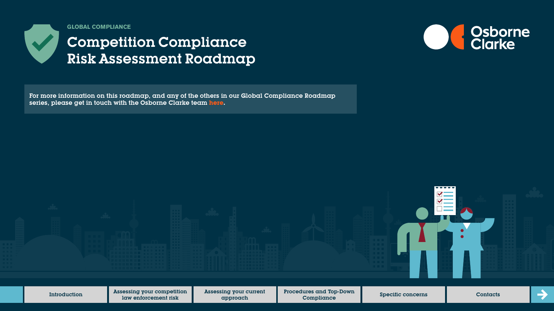

**GLOBAL COMPLIANCE**

# Competition Compliance Risk Assessment Roadmap



For more information on this roadmap, and any of the others in our Global Compliance Roadmap series, please get in touch with the Osborne Clarke team **[here.](https://sites-osborneclarke.vuturevx.com/82/6426/pages/global-compliance-roadmaps.asp)**

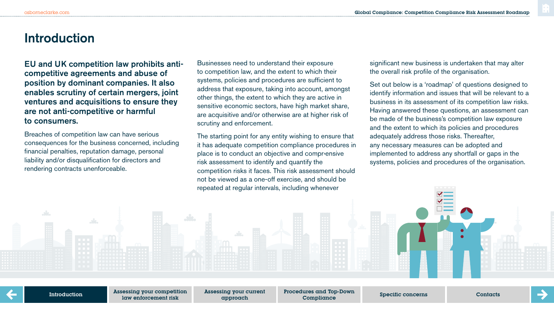### **Introduction**

EU and UK competition law prohibits anticompetitive agreements and abuse of position by dominant companies. It also enables scrutiny of certain mergers, joint ventures and acquisitions to ensure they are not anti-competitive or harmful to consumers.

Breaches of competition law can have serious consequences for the business concerned, including financial penalties, reputation damage, personal liability and/or disqualification for directors and rendering contracts unenforceable.

Businesses need to understand their exposure to competition law, and the extent to which their systems, policies and procedures are sufficient to address that exposure, taking into account, amongst other things, the extent to which they are active in sensitive economic sectors, have high market share, are acquisitive and/or otherwise are at higher risk of scrutiny and enforcement.

The starting point for any entity wishing to ensure that it has adequate competition compliance procedures in place is to conduct an objective and comprensive risk assessment to identify and quantify the competition risks it faces. This risk assessment should not be viewed as a one-off exercise, and should be repeated at regular intervals, including whenever

significant new business is undertaken that may alter the overall risk profile of the organisation.

Set out below is a 'roadmap' of questions designed to identify information and issues that will be relevant to a business in its assessment of its competition law risks. Having answered these questions, an assessment can be made of the business's competition law exposure and the extent to which its policies and procedures adequately address those risks. Thereafter, any necessary measures can be adopted and implemented to address any shortfall or gaps in the systems, policies and procedures of the organisation.

Introduction

Assessing your competition law enforcement risk

Assessing your current approach

Procedures and Top-Down Compliance Specific concerns Contacts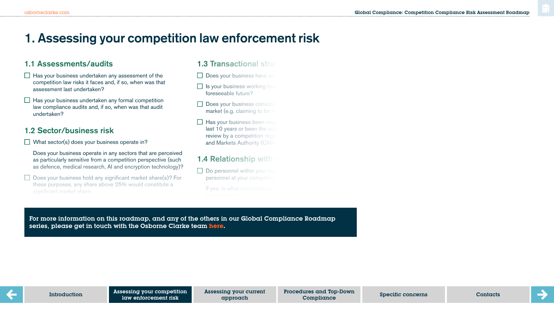# **1. Assessing your competition law enforcement risk**

### 1.1 Assessments/audits

- $\Box$  Has your business undertaken any assessment of the competition law risks it faces and, if so, when was that assessment last undertaken?
- $\Box$  Has your business undertaken any formal competition law compliance audits and, if so, when was that audit undertaken?

### 1.2 Sector/business risk

- $\Box$  What sector(s) does your business operate in?
	- Does your business operate in any sectors that are perceived as particularly sensitive from a competition perspective (such as defence, medical research, AI and encryption technology)?
- $\Box$  Does your business hold any significant market share(s)? For these purposes, any share above 25% would constitute a significant market share.

 $\mathcal{L}_{\mathcal{A}}$  you consider that you consider that  $\mathcal{L}_{\mathcal{A}}$  any possibility that you business may be a

#### 1.3 Transactional strategy

- $\Box$  Does your business have an
- $\Box$  Is your business working tow foreseeable future?
- $\Box$  Does your business consider market (e.g. claiming to be  $t$
- $\Box$  Has your business been required last 10 years or been the sub review by a competition regulator and Markets Authority (CMA

### **1.4 Relationship with**

 $\Box$  Do personnel within your business personnel at your competitors

If yes, in what circumstance

or more information on this roadman, and any of the others in our Global Compliance Poadman of more minoritations on mind to a analyty and usually and usually are discussed to the can be discussed to the series, please get in touch with the Osborne Clarke team <mark>[here.](https://sites-osborneclarke.vuturevx.com/82/6426/pages/global-compliance-roadmaps.asp)</mark><br>. For more information on this roadmap, and any of the others in our Global Compliance Roadmap



approach

Procedures and Top-Down Compliance Specific concerns Contacts

of collaboration with competitors, where  $\alpha$  is  $\alpha$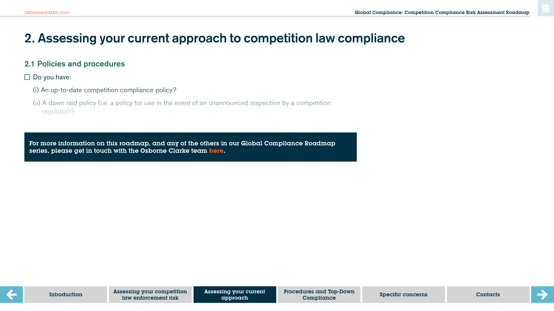# **2. Assessing your current approach to competition law compliance**

#### 2.1 Policies and procedures

 $\square$  Do you have:

- (i) An up-to-date competition compliance policy?
- (ii) A dawn raid policy (i.e. a policy for use in the event of an unannounced inspection by a competition regulator)?

series, please get in touch with the Osborne Clarke team <mark>here.</mark> And monitored and monitored and monitored? And m For more information on this roadmap, and any of the others in our Global Compliance Roadmap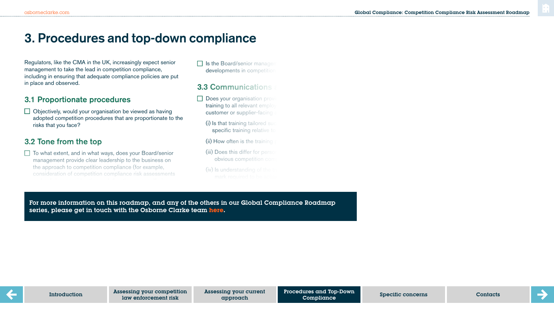## **3. Procedures and top-down compliance**

Regulators, like the CMA in the UK, increasingly expect senior management to take the lead in competition compliance, including in ensuring that adequate compliance policies are put in place and observed.

#### 3.1 Proportionate procedures

 $\Box$  Objectively, would your organisation be viewed as having adopted competition procedures that are proportionate to the risks that you face?

### 3.2 Tone from the top

 $\Box$  To what extent, and in what ways, does your Board/senior management provide clear leadership to the business on the approach to competition compliance (for example, consideration of competition compliance risk assessments  $\Box$  Is the Board/senior management developments in competition

#### 3.3 Communications

- $\Box$  Does your organisation prov training to all relevant employ customer or supplier-facing
	- $(i)$  is that training tailored such specific training relative to
	- $(ii)$  How often is the training
	- (iii) Does this differ for person obvious competition com
	- $(iv)$  is understanding of the

 $\sigma$  increample, and  $\sigma$  is the communicated external  $\sigma$ . series, please get in touch with the Osborne Clarke team <mark>[here.](https://sites-osborneclarke.vuturevx.com/82/6426/pages/global-compliance-roadmaps.asp)</mark> (vi) If so, does the company record when the training took For more information on this roadmap, and any of the others in our Global Compliance Roadmap

corporate values?

Procedures and Top-Down Compliance approach Contacts Compliance Specific concerns Contacts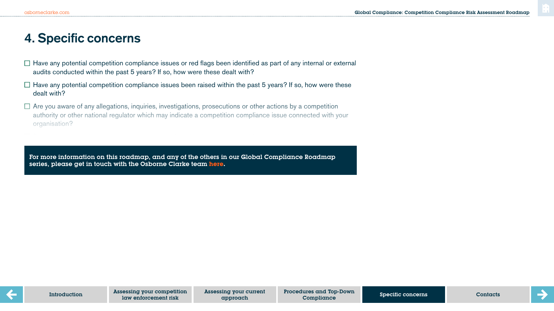# **4. Specific concerns**

- $\Box$  Have any potential competition compliance issues or red flags been identified as part of any internal or external audits conducted within the past 5 years? If so, how were these dealt with?
- $\Box$  Have any potential competition compliance issues been raised within the past 5 years? If so, how were these dealt with?
- $\Box$  Are you aware of any allegations, inquiries, investigations, prosecutions or other actions by a competition authority or other national regulator which may indicate a competition compliance issue connected with your organisation?

For more information on this roadmap, and any of the others in our Global Compliance Roadmap series, please get in touch with the Osborne Clarke team **[here.](https://sites-osborneclarke.vuturevx.com/82/6426/pages/global-compliance-roadmaps.asp)**

potential competition issue or risk connected to the business?

approach

Specific concerns Compliance ContactsProcedures and Top-Down